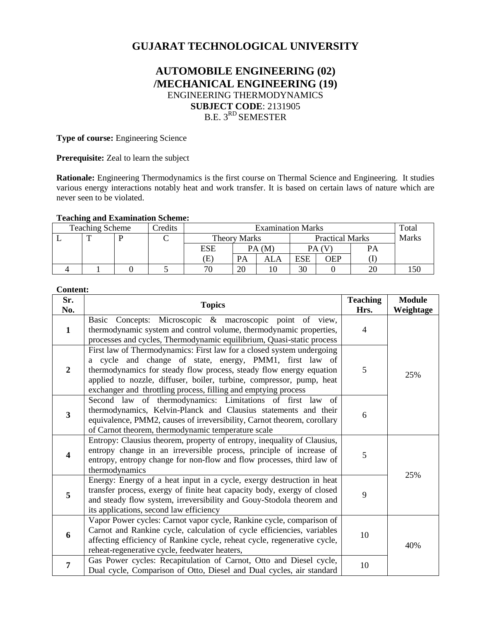# **GUJARAT TECHNOLOGICAL UNIVERSITY**

## **AUTOMOBILE ENGINEERING (02) /MECHANICAL ENGINEERING (19)** ENGINEERING THERMODYNAMICS **SUBJECT CODE**: 2131905 B.E. 3<sup>RD</sup> SEMESTER

**Type of course:** Engineering Science

**Prerequisite:** Zeal to learn the subject

**Rationale:** Engineering Thermodynamics is the first course on Thermal Science and Engineering. It studies various energy interactions notably heat and work transfer. It is based on certain laws of nature which are never seen to be violated.

### **Teaching and Examination Scheme:**

| <b>Teaching Scheme</b> |   |  | Credits | <b>Examination Marks</b> |                     |     |                        |     |              | Total |
|------------------------|---|--|---------|--------------------------|---------------------|-----|------------------------|-----|--------------|-------|
|                        | m |  |         |                          | <b>Theory Marks</b> |     | <b>Practical Marks</b> |     | <b>Marks</b> |       |
|                        |   |  |         | ESE                      | PA(M)               |     |                        |     | PА           |       |
|                        |   |  |         | Έ                        | PA                  | ALA | ESE                    | OEP |              |       |
|                        |   |  |         | 70                       | 20                  |     | 30                     |     |              |       |

### **Content:**

| Sr.<br>No.              | <b>Topics</b>                                                                                                                                                                                                                                                                                                                                     |                | <b>Module</b><br>Weightage |
|-------------------------|---------------------------------------------------------------------------------------------------------------------------------------------------------------------------------------------------------------------------------------------------------------------------------------------------------------------------------------------------|----------------|----------------------------|
| $\mathbf{1}$            | Concepts: Microscopic & macroscopic point of view,<br>Basic<br>thermodynamic system and control volume, thermodynamic properties,<br>processes and cycles, Thermodynamic equilibrium, Quasi-static process                                                                                                                                        | $\overline{4}$ |                            |
| $\overline{2}$          | First law of Thermodynamics: First law for a closed system undergoing<br>a cycle and change of state, energy, PMM1, first law of<br>thermodynamics for steady flow process, steady flow energy equation<br>applied to nozzle, diffuser, boiler, turbine, compressor, pump, heat<br>exchanger and throttling process, filling and emptying process | 5              | 25%                        |
| 3                       | Second law of thermodynamics: Limitations of first law of<br>thermodynamics, Kelvin-Planck and Clausius statements and their<br>equivalence, PMM2, causes of irreversibility, Carnot theorem, corollary<br>of Carnot theorem, thermodynamic temperature scale                                                                                     | 6              |                            |
| $\overline{\mathbf{4}}$ | Entropy: Clausius theorem, property of entropy, inequality of Clausius,<br>entropy change in an irreversible process, principle of increase of<br>entropy, entropy change for non-flow and flow processes, third law of<br>thermodynamics                                                                                                         | 5              | 25%                        |
| 5                       | Energy: Energy of a heat input in a cycle, exergy destruction in heat<br>transfer process, exergy of finite heat capacity body, exergy of closed<br>and steady flow system, irreversibility and Gouy-Stodola theorem and<br>its applications, second law efficiency                                                                               | 9              |                            |
| 6                       | Vapor Power cycles: Carnot vapor cycle, Rankine cycle, comparison of<br>Carnot and Rankine cycle, calculation of cycle efficiencies, variables<br>affecting efficiency of Rankine cycle, reheat cycle, regenerative cycle,<br>reheat-regenerative cycle, feedwater heaters,                                                                       | 10             | 40%                        |
| 7                       | Gas Power cycles: Recapitulation of Carnot, Otto and Diesel cycle,<br>Dual cycle, Comparison of Otto, Diesel and Dual cycles, air standard                                                                                                                                                                                                        | 10             |                            |